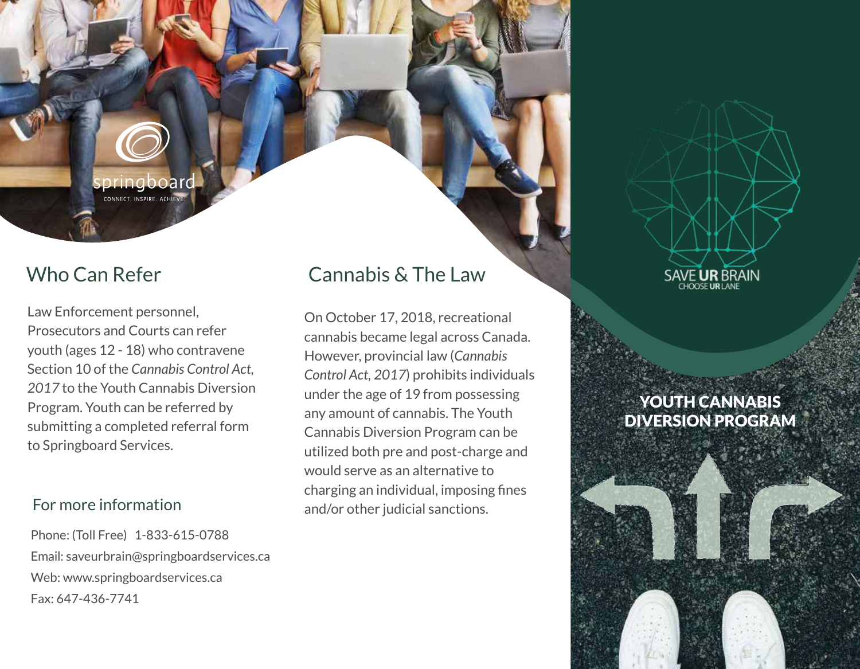pringboard CONNECT. INSPIRE. ACHI

# Who Can Refer

Law Enforcement personnel, Prosecutors and Courts can refer youth (ages 12 - 18) who contravene Section 10 of the *Cannabis Control Act, 2017* to the Youth Cannabis Diversion Program. Youth can be referred by submitting a completed referral form to Springboard Services.

Phone: (Toll Free) 1-833-615-0788 Email: saveurbrain@springboardservices.ca Web: www.springboardservices.ca Fax: 647-436-7741

# Cannabis & The Law

On October 17, 2018, recreational cannabis became legal across Canada. However, provincial law (*Cannabis Control Act, 2017*) prohibits individuals under the age of 19 from possessing any amount of cannabis. The Youth Cannabis Diversion Program can be utilized both pre and post-charge and would serve as an alternative to charging an individual, imposing fines For more information and/or other judicial sanctions.

SAVE UR BRAIN

## YOUTH CANNABIS DIVERSION PROGRAM